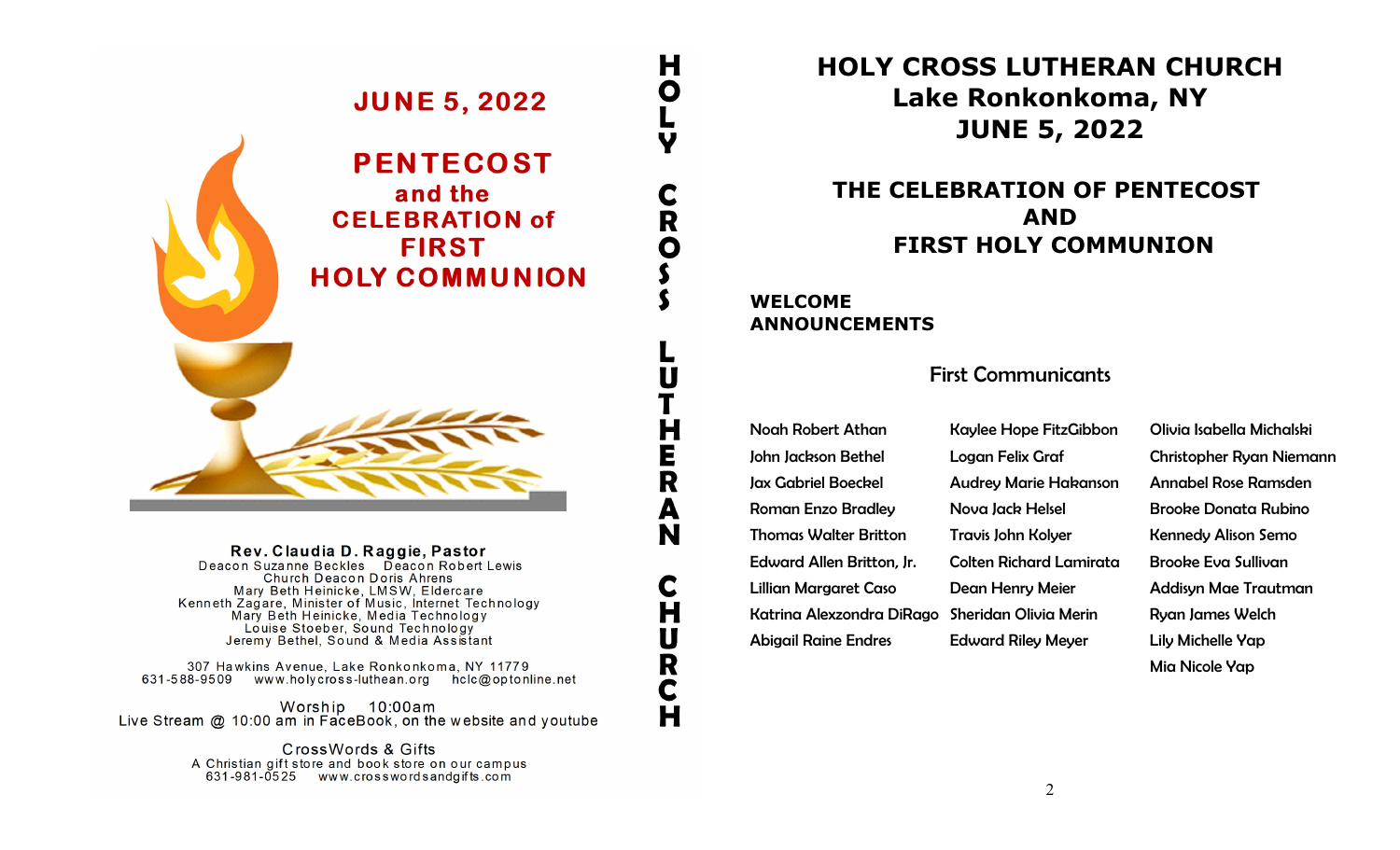

### Rev. Claudia D. Raggie, Pastor Deacon Suzanne Beckles Deacon Robert Lewis Church Deacon Doris Ahrens Mary Beth Heinicke, LMSW, Eldercare<br>Kenneth Zagare, Minister of Music, Internet Technology<br>Mary Beth Heinicke, Media Technology<br>Mary Beth Heinicke, Media Technology Louise Stoeber, Sound Technology Jeremy Bethel, Sound & Media Assistant

307 Hawkins Avenue, Lake Ronkonkoma, NY 11779 631-588-9509 www.holycross-luthean.org hclc@optonline.net

Worship 10:00am Live Stream @ 10:00 am in FaceBook, on the website and youtube

> CrossWords & Gifts A Christian gift store and book store on our campus 631-981-0525 www.crosswordsandgifts.com

**HOLY CROSS LUTHERAN CHURCH Lake Ronkonkoma, NY JUNE 5, 2022**

# **THE CELEBRATION OF PENTECOST AND FIRST HOLY COMMUNION**

## **WELCOME ANNOUNCEMENTS**

Н O

Ϋ

C<br>R

O

H E R

A N

C

 $\mathbf H$ 

U

**RC** 

Ĥ

## First Communicants

John Jackson Bethel Logan Felix Graf Christopher Ryan Niemann Jax Gabriel Boeckel Audrey Marie Hakanson Annabel Rose Ramsden Roman Enzo Bradley Nova Jack Helsel Brooke Donata Rubino Thomas Walter Britton Travis John Kolyer Kennedy Alison Semo Edward Allen Britton, Jr. Colten Richard Lamirata Brooke Eva Sullivan Lillian Margaret Caso Dean Henry Meier Addisyn Mae Trautman Katrina Alexzondra DiRago Sheridan Olivia Merin Ryan James Welch Abigail Raine Endres Edward Riley Meyer Lily Michelle Yap

Noah Robert Athan Kaylee Hope FitzGibbon Olivia Isabella Michalski

Mia Nicole Yap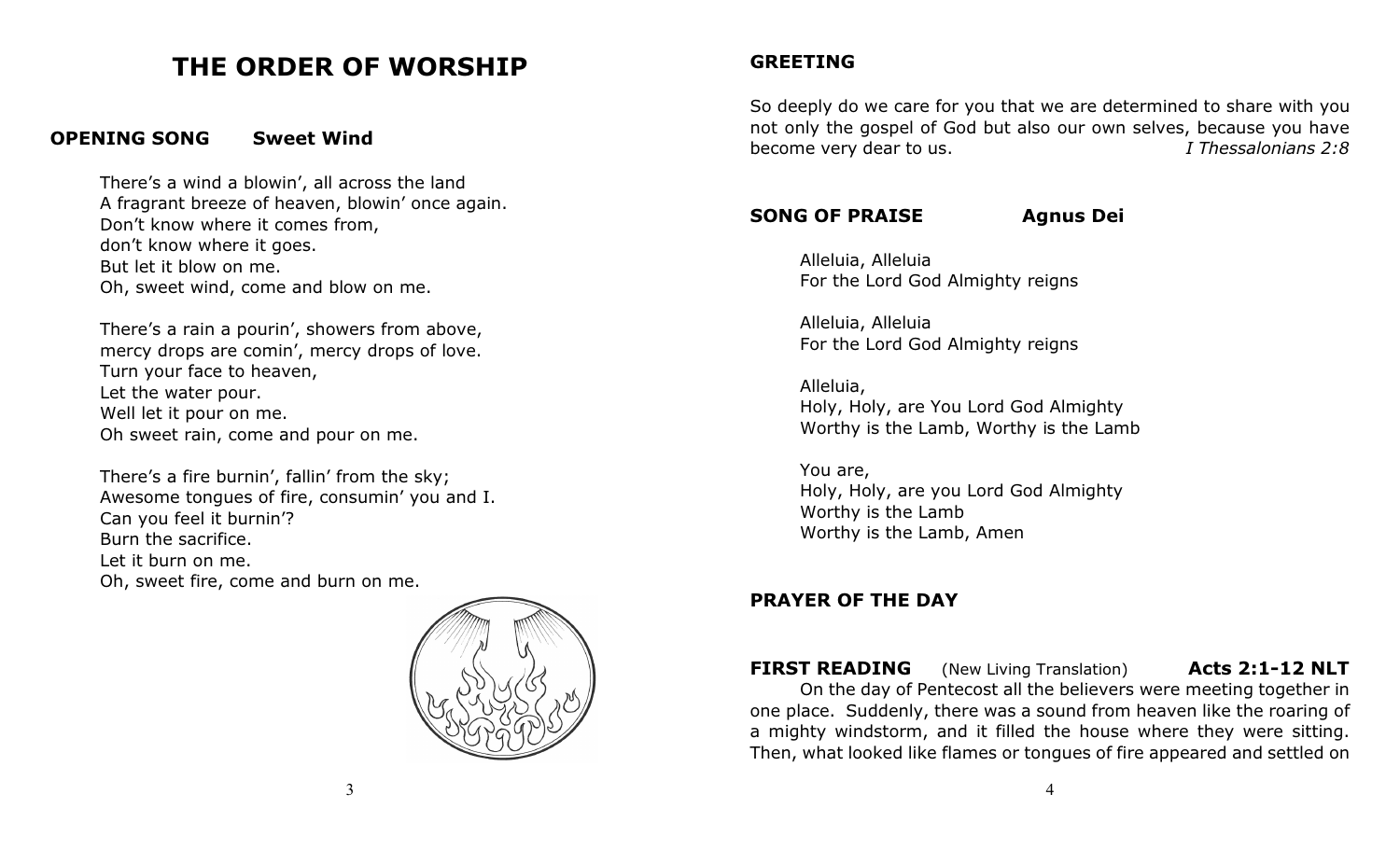# **THE ORDER OF WORSHIP**

### **OPENING SONG Sweet Wind**

There's a wind a blowin', all across the land A fragrant breeze of heaven, blowin' once again. Don't know where it comes from, don't know where it goes. But let it blow on me. Oh, sweet wind, come and blow on me.

There's a rain a pourin', showers from above, mercy drops are comin', mercy drops of love. Turn your face to heaven, Let the water pour. Well let it pour on me. Oh sweet rain, come and pour on me.

There's a fire burnin', fallin' from the sky; Awesome tongues of fire, consumin' you and I. Can you feel it burnin'? Burn the sacrifice. Let it burn on me. Oh, sweet fire, come and burn on me.



## **GREETING**

So deeply do we care for you that we are determined to share with you not only the gospel of God but also our own selves, because you have become very dear to us. *I Thessalonians 2:8*

### **SONG OF PRAISE Agnus Dei**

Alleluia, Alleluia For the Lord God Almighty reigns

Alleluia, Alleluia For the Lord God Almighty reigns

Alleluia, Holy, Holy, are You Lord God Almighty Worthy is the Lamb, Worthy is the Lamb

You are, Holy, Holy, are you Lord God Almighty Worthy is the Lamb Worthy is the Lamb, Amen

## **PRAYER OF THE DAY**

**FIRST READING** (New Living Translation) **Acts 2:1-12 NLT** On the day of Pentecost all the believers were meeting together in one place. Suddenly, there was a sound from heaven like the roaring of a mighty windstorm, and it filled the house where they were sitting. Then, what looked like flames or tongues of fire appeared and settled on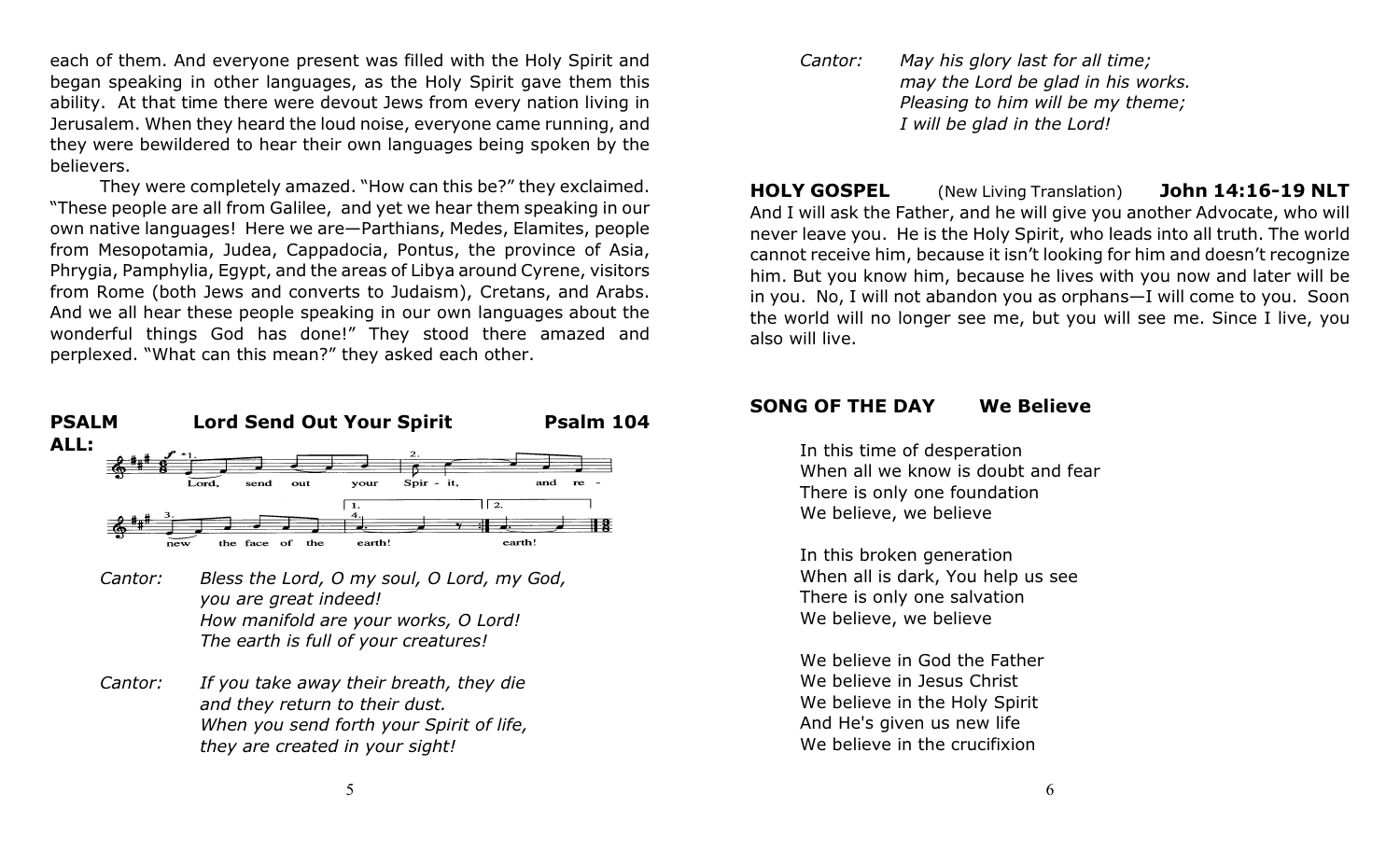each of them. And everyone present was filled with the Holy Spirit and began speaking in other languages, as the Holy Spirit gave them this ability. At that time there were devout Jews from every nation living in Jerusalem. When they heard the loud noise, everyone came running, and they were bewildered to hear their own languages being spoken by the believers.

They were completely amazed. "How can this be?" they exclaimed. "These people are all from Galilee, and yet we hear them speaking in our own native languages! Here we are—Parthians, Medes, Elamites, people from Mesopotamia, Judea, Cappadocia, Pontus, the province of Asia, Phrygia, Pamphylia, Egypt, and the areas of Libya around Cyrene, visitors from Rome (both Jews and converts to Judaism), Cretans, and Arabs. And we all hear these people speaking in our own languages about the wonderful things God has done!" They stood there amazed and perplexed. "What can this mean?" they asked each other.



- *Cantor: Bless the Lord, O my soul, O Lord, my God, you are great indeed! How manifold are your works, O Lord! The earth is full of your creatures!*
- *Cantor: If you take away their breath, they die and they return to their dust. When you send forth your Spirit of life, they are created in your sight!*

*Cantor: May his glory last for all time; may the Lord be glad in his works. Pleasing to him will be my theme; I will be glad in the Lord!*

**HOLY GOSPEL** (New Living Translation) **John 14:16-19 NLT** And I will ask the Father, and he will give you another Advocate, who will never leave you. He is the Holy Spirit, who leads into all truth. The world cannot receive him, because it isn't looking for him and doesn't recognize him. But you know him, because he lives with you now and later will be in you. No, I will not abandon you as orphans—I will come to you. Soon the world will no longer see me, but you will see me. Since I live, you also will live.

### **SONG OF THE DAY We Believe**

In this time of desperation When all we know is doubt and fear There is only one foundation We believe, we believe

In this broken generation When all is dark, You help us see There is only one salvation We believe, we believe

We believe in God the Father We believe in Jesus Christ We believe in the Holy Spirit And He's given us new life We believe in the crucifixion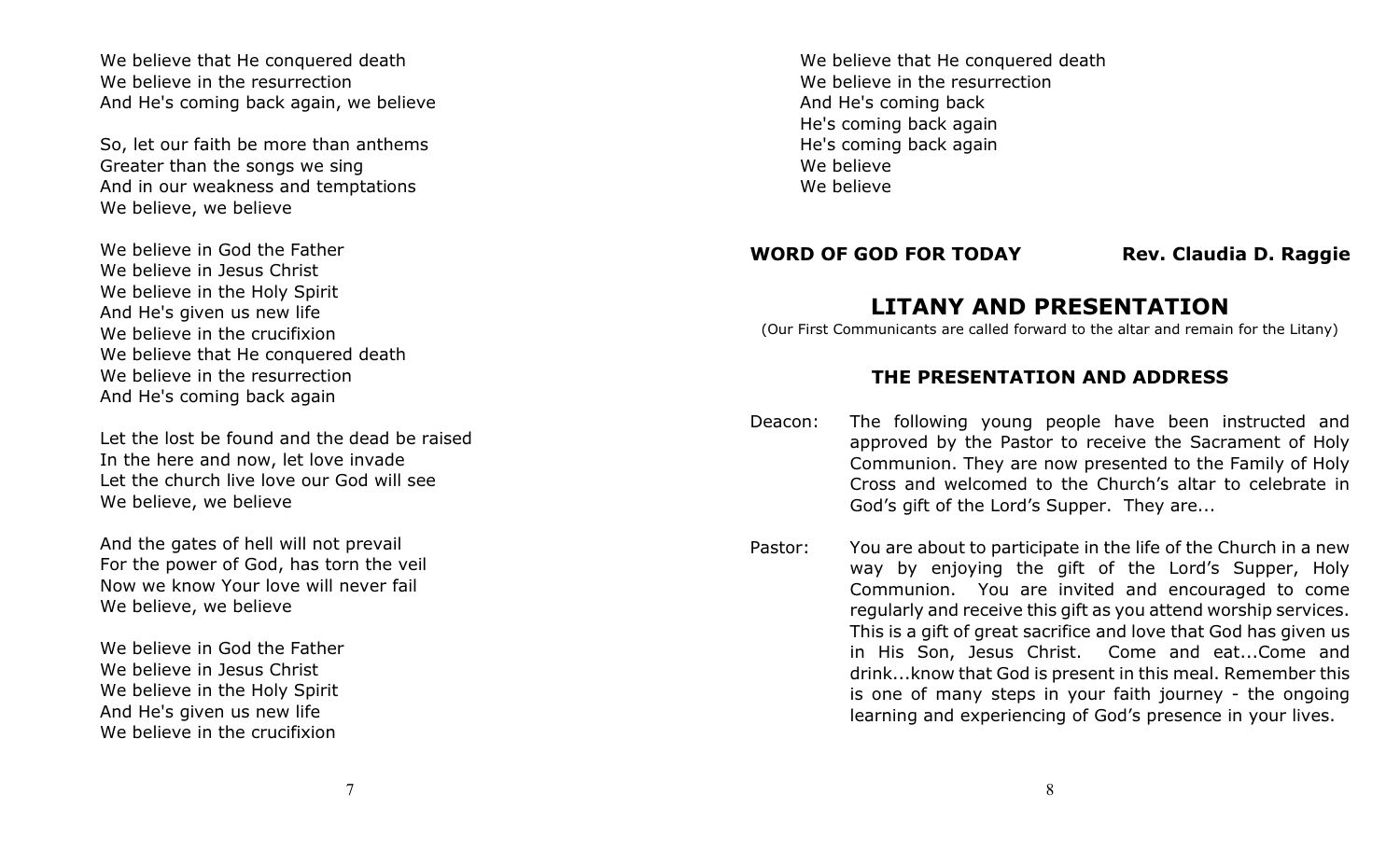We believe that He conquered death We believe in the resurrection And He's coming back again, we believe

So, let our faith be more than anthems Greater than the songs we sing And in our weakness and temptations We believe, we believe

We believe in God the Father We believe in Jesus Christ We believe in the Holy Spirit And He's given us new life We believe in the crucifixion We believe that He conquered death We believe in the resurrection And He's coming back again

Let the lost be found and the dead be raised In the here and now, let love invade Let the church live love our God will see We believe, we believe

And the gates of hell will not prevail For the power of God, has torn the veil Now we know Your love will never fail We believe, we believe

We believe in God the Father We believe in Jesus Christ We believe in the Holy Spirit And He's given us new life We believe in the crucifixion

We believe that He conquered death We believe in the resurrection And He's coming back He's coming back again He's coming back again We believe We believe

### **WORD OF GOD FOR TODAY Rev. Claudia D. Raggie**

# **LITANY AND PRESENTATION**

(Our First Communicants are called forward to the altar and remain for the Litany)

### **THE PRESENTATION AND ADDRESS**

- Deacon: The following young people have been instructed and approved by the Pastor to receive the Sacrament of Holy Communion. They are now presented to the Family of Holy Cross and welcomed to the Church's altar to celebrate in God's gift of the Lord's Supper. They are...
- Pastor: You are about to participate in the life of the Church in a new way by enjoying the gift of the Lord's Supper, Holy Communion. You are invited and encouraged to come regularly and receive this gift as you attend worship services. This is a gift of great sacrifice and love that God has given us in His Son, Jesus Christ. Come and eat...Come and drink...know that God is present in this meal. Remember this is one of many steps in your faith journey - the ongoing learning and experiencing of God's presence in your lives.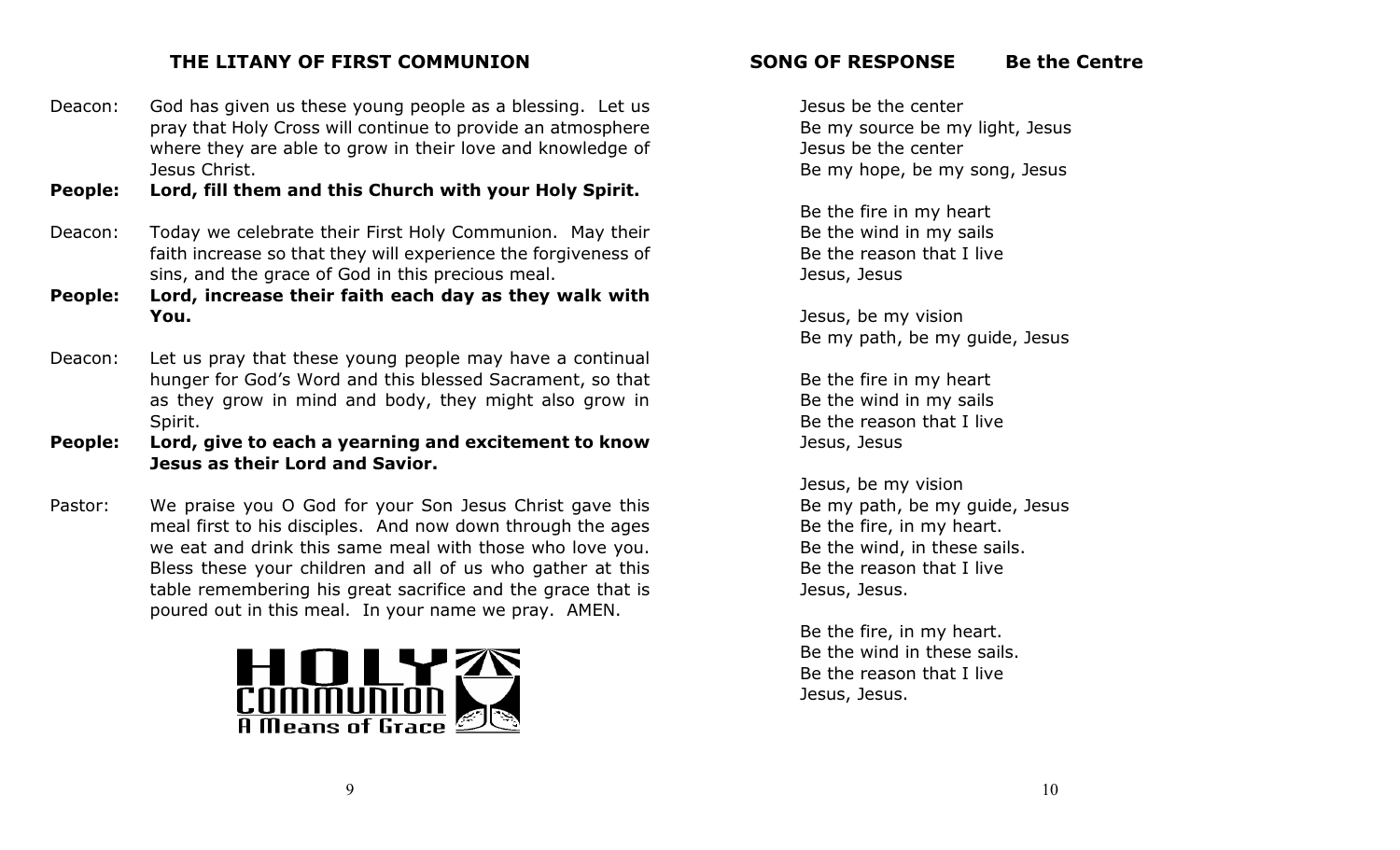## **THE LITANY OF FIRST COMMUNION**

Deacon: God has given us these young people as a blessing. Let us pray that Holy Cross will continue to provide an atmosphere where they are able to grow in their love and knowledge of Jesus Christ.

**People: Lord, fill them and this Church with your Holy Spirit.**

- Deacon: Today we celebrate their First Holy Communion. May their faith increase so that they will experience the forgiveness of sins, and the grace of God in this precious meal.
- **People: Lord, increase their faith each day as they walk with You.**
- Deacon: Let us pray that these young people may have a continual hunger for God's Word and this blessed Sacrament, so that as they grow in mind and body, they might also grow in Spirit.
- **People: Lord, give to each a yearning and excitement to know Jesus as their Lord and Savior.**
- Pastor: We praise you O God for your Son Jesus Christ gave this meal first to his disciples. And now down through the ages we eat and drink this same meal with those who love you. Bless these your children and all of us who gather at this table remembering his great sacrifice and the grace that is poured out in this meal. In your name we pray. AMEN.



# **SONG OF RESPONSE Be the Centre**

Jesus be the center Be my source be my light, Jesus Jesus be the center Be my hope, be my song, Jesus

Be the fire in my heart Be the wind in my sails Be the reason that I live Jesus, Jesus

Jesus, be my vision Be my path, be my guide, Jesus

Be the fire in my heart Be the wind in my sails Be the reason that I live Jesus, Jesus

Jesus, be my vision Be my path, be my guide, Jesus Be the fire, in my heart. Be the wind, in these sails. Be the reason that I live Jesus, Jesus.

Be the fire, in my heart. Be the wind in these sails. Be the reason that I live Jesus, Jesus.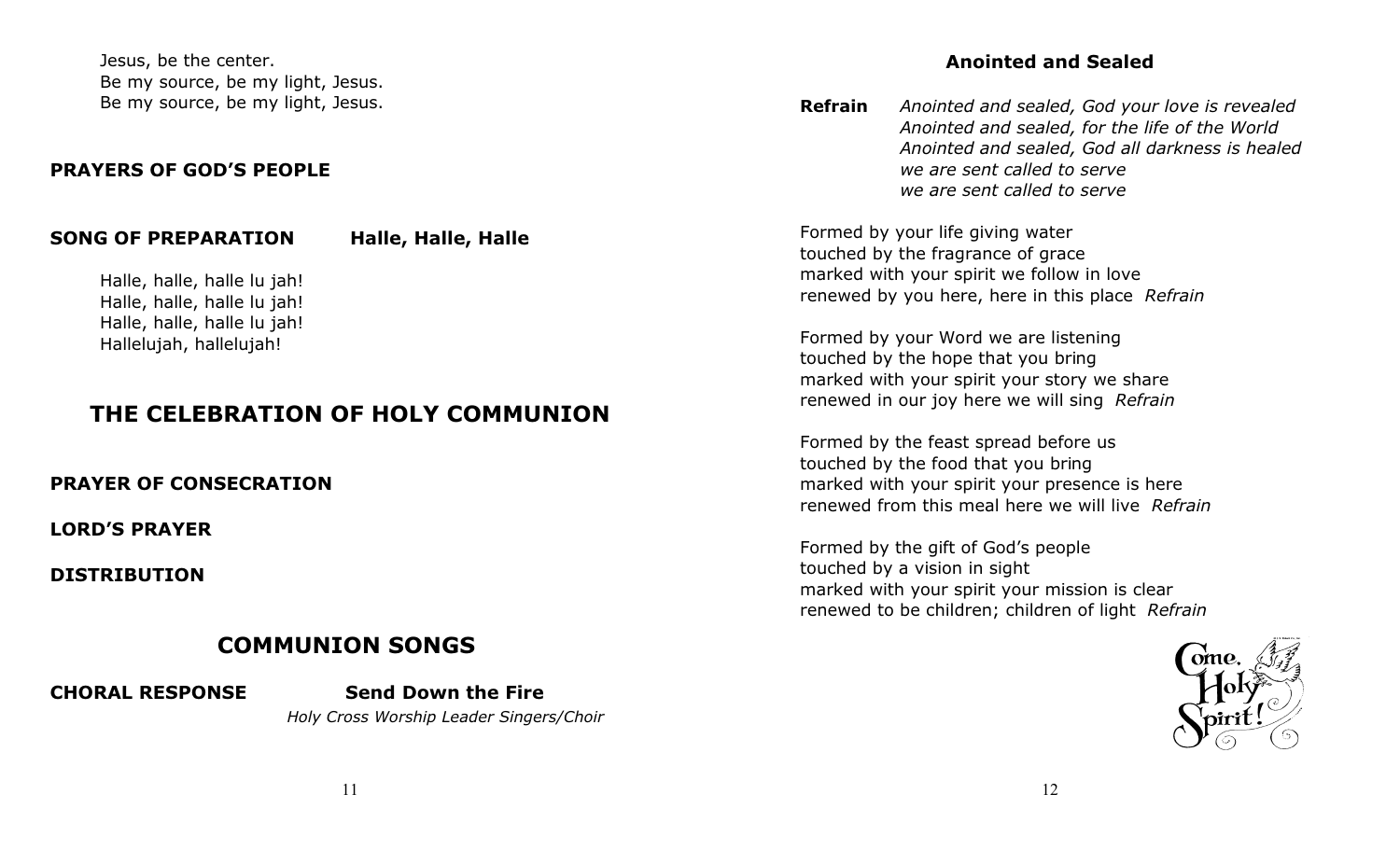Jesus, be the center. Be my source, be my light, Jesus. Be my source, be my light, Jesus.

### **PRAYERS OF GOD'S PEOPLE**

### **SONG OF PREPARATION Halle, Halle, Halle**

Halle, halle, halle lu jah! Halle, halle, halle lu jah! Halle, halle, halle lu jah! Hallelujah, hallelujah!

# **THE CELEBRATION OF HOLY COMMUNION**

### **PRAYER OF CONSECRATION**

**LORD'S PRAYER**

**DISTRIBUTION**

# **COMMUNION SONGS**

**CHORAL RESPONSE Send Down the Fire** *Holy Cross Worship Leader Singers/Choir*

### **Anointed and Sealed**

**Refrain** *Anointed and sealed, God your love is revealed Anointed and sealed, for the life of the World Anointed and sealed, God all darkness is healed we are sent called to serve we are sent called to serve*

Formed by your life giving water touched by the fragrance of grace marked with your spirit we follow in love renewed by you here, here in this place *Refrain*

Formed by your Word we are listening touched by the hope that you bring marked with your spirit your story we share renewed in our joy here we will sing *Refrain*

Formed by the feast spread before us touched by the food that you bring marked with your spirit your presence is here renewed from this meal here we will live *Refrain*

Formed by the gift of God's people touched by a vision in sight marked with your spirit your mission is clear renewed to be children; children of light *Refrain*

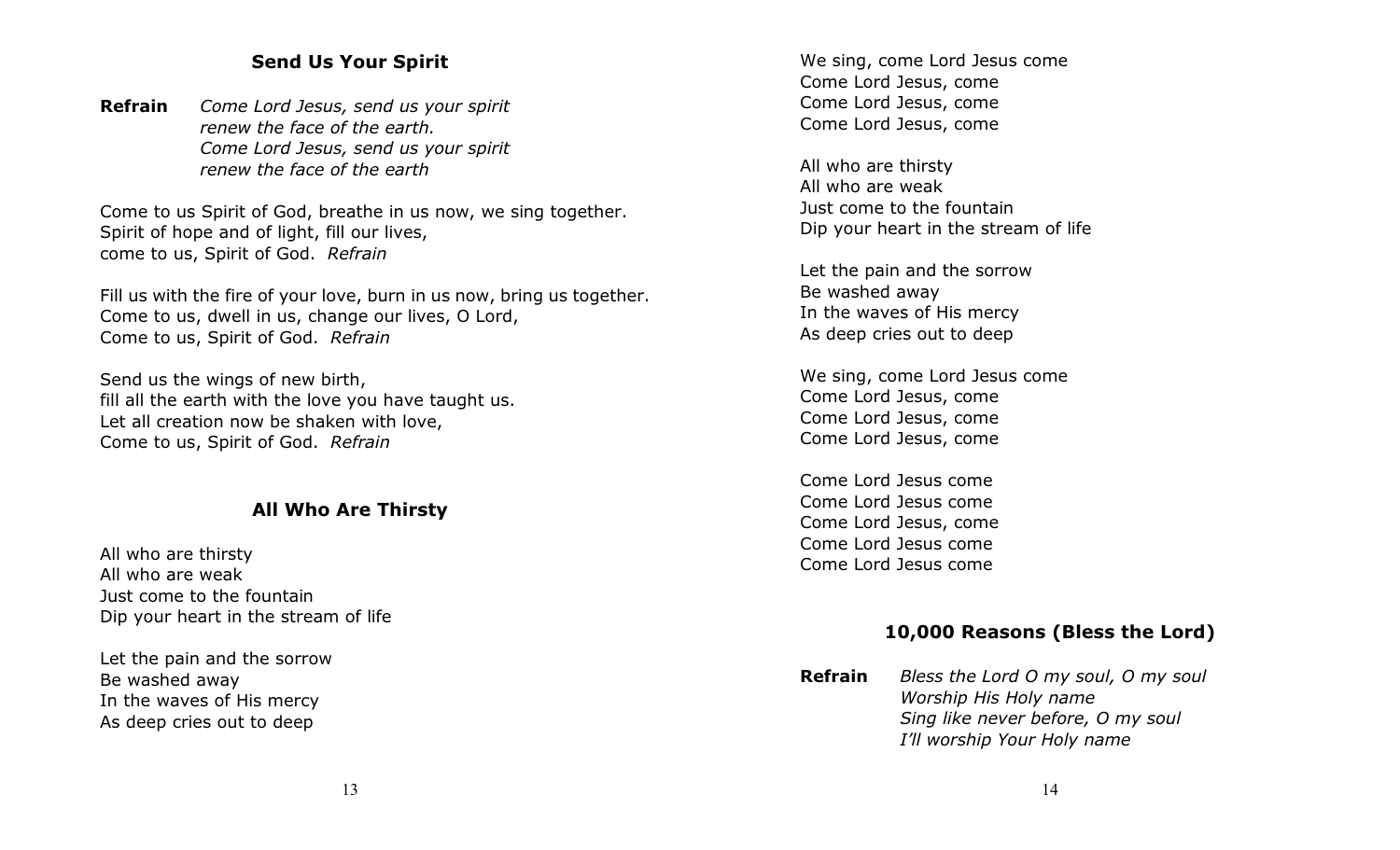### **Send Us Your Spirit**

**Refrain** *Come Lord Jesus, send us your spirit renew the face of the earth. Come Lord Jesus, send us your spirit renew the face of the earth*

Come to us Spirit of God, breathe in us now, we sing together. Spirit of hope and of light, fill our lives, come to us, Spirit of God. *Refrain*

Fill us with the fire of your love, burn in us now, bring us together. Come to us, dwell in us, change our lives, O Lord, Come to us, Spirit of God. *Refrain*

Send us the wings of new birth, fill all the earth with the love you have taught us. Let all creation now be shaken with love, Come to us, Spirit of God. *Refrain*

### **All Who Are Thirsty**

All who are thirsty All who are weak Just come to the fountain Dip your heart in the stream of life

Let the pain and the sorrow Be washed away In the waves of His mercy As deep cries out to deep

We sing, come Lord Jesus come Come Lord Jesus, come Come Lord Jesus, come Come Lord Jesus, come

All who are thirsty All who are weak Just come to the fountain Dip your heart in the stream of life

Let the pain and the sorrow Be washed away In the waves of His mercy As deep cries out to deep

We sing, come Lord Jesus come Come Lord Jesus, come Come Lord Jesus, come Come Lord Jesus, come

Come Lord Jesus come Come Lord Jesus come Come Lord Jesus, come Come Lord Jesus come Come Lord Jesus come

### **10,000 Reasons (Bless the Lord)**

**Refrain** *Bless the Lord O my soul, O my soul Worship His Holy name Sing like never before, O my soul I'll worship Your Holy name*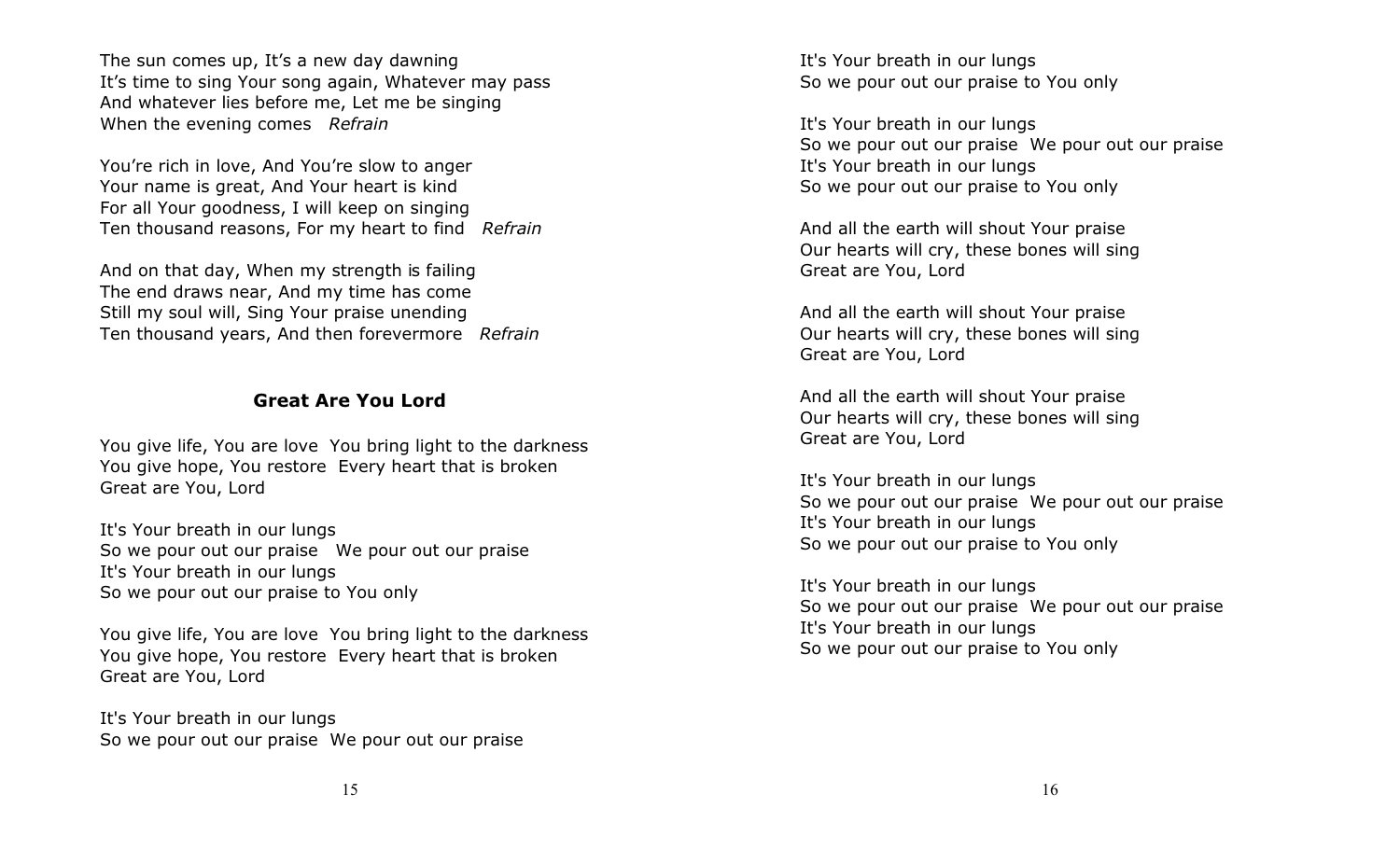The sun comes up, It's a new day dawning It's time to sing Your song again, Whatever may pass And whatever lies before me, Let me be singing When the evening comes *Refrain*

You're rich in love, And You're slow to anger Your name is great, And Your heart is kind For all Your goodness, I will keep on singing Ten thousand reasons, For my heart to find *Refrain*

And on that day, When my strength is failing The end draws near, And my time has come Still my soul will, Sing Your praise unending Ten thousand years, And then forevermore *Refrain*

### **Great Are You Lord**

You give life, You are love You bring light to the darkness You give hope, You restore Every heart that is broken Great are You, Lord

It's Your breath in our lungs So we pour out our praise We pour out our praise It's Your breath in our lungs So we pour out our praise to You only

You give life, You are love You bring light to the darkness You give hope, You restore Every heart that is broken Great are You, Lord

It's Your breath in our lungs So we pour out our praise We pour out our praise It's Your breath in our lungs So we pour out our praise to You only

It's Your breath in our lungs So we pour out our praise We pour out our praise It's Your breath in our lungs So we pour out our praise to You only

And all the earth will shout Your praise Our hearts will cry, these bones will sing Great are You, Lord

And all the earth will shout Your praise Our hearts will cry, these bones will sing Great are You, Lord

And all the earth will shout Your praise Our hearts will cry, these bones will sing Great are You, Lord

It's Your breath in our lungs So we pour out our praise We pour out our praise It's Your breath in our lungs So we pour out our praise to You only

It's Your breath in our lungs So we pour out our praise We pour out our praise It's Your breath in our lungs So we pour out our praise to You only